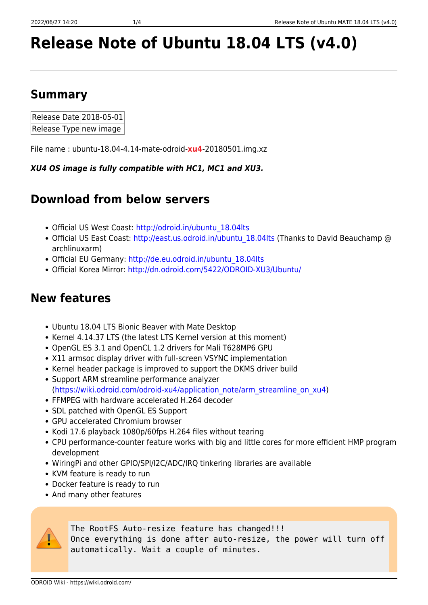# **Release Note of Ubuntu 18.04 LTS (v4.0)**

# **Summary**

| Release Date 2018-05-01 |  |
|-------------------------|--|
| Release Type new image  |  |

File name : ubuntu-18.04-4.14-mate-odroid-**xu4**-20180501.img.xz

*XU4 OS image is fully compatible with HC1, MC1 and XU3.*

# **Download from below servers**

- Official US West Coast: [http://odroid.in/ubuntu\\_18.04lts](http://odroid.in/ubuntu_18.04lts)
- Official US East Coast: http://east.us.odroid.in/ubuntu 18.04lts (Thanks to David Beauchamp @ archlinuxarm)
- Official EU Germany: [http://de.eu.odroid.in/ubuntu\\_18.04lts](http://de.eu.odroid.in/ubuntu_18.04lts)
- Official Korea Mirror: <http://dn.odroid.com/5422/ODROID-XU3/Ubuntu/>

# **New features**

- Ubuntu 18.04 LTS Bionic Beaver with Mate Desktop
- Kernel 4.14.37 LTS (the latest LTS Kernel version at this moment)
- OpenGL ES 3.1 and OpenCL 1.2 drivers for Mali T628MP6 GPU
- X11 armsoc display driver with full-screen VSYNC implementation
- Kernel header package is improved to support the DKMS driver build
- Support ARM streamline performance analyzer [\(https://wiki.odroid.com/odroid-xu4/application\\_note/arm\\_streamline\\_on\\_xu4\)](https://wiki.odroid.com/odroid-xu4/application_note/arm_streamline_on_xu4)
- FFMPEG with hardware accelerated H.264 decoder
- SDL patched with OpenGL ES Support
- GPU accelerated Chromium browser
- Kodi 17.6 playback 1080p/60fps H.264 files without tearing
- CPU performance-counter feature works with big and little cores for more efficient HMP program development
- WiringPi and other GPIO/SPI/I2C/ADC/IRQ tinkering libraries are available
- KVM feature is ready to run
- Docker feature is ready to run
- And many other features



The RootFS Auto-resize feature has changed!!!

Once everything is done after auto-resize, the power will turn off automatically. Wait a couple of minutes.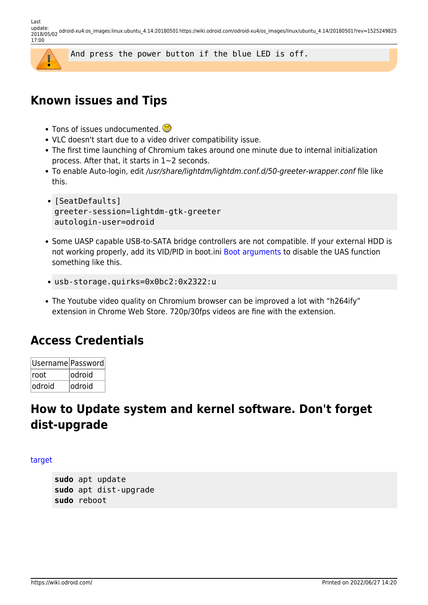Last update: 2018/05/02 odroid-xu4:os\_images:linux:ubuntu\_4.14:20180501 https://wiki.odroid.com/odroid-xu4/os\_images/linux/ubuntu\_4.14/20180501?rev=1525249825 17:00



# **Known issues and Tips**

- Tons of issues undocumented.
- VLC doesn't start due to a video driver compatibility issue.
- The first time launching of Chromium takes around one minute due to internal initialization process. After that, it starts in 1~2 seconds.
- To enable Auto-login, edit /usr/share/lightdm/lightdm.conf.d/50-greeter-wrapper.conf file like this.
- [SeatDefaults] greeter-session=lightdm-gtk-greeter autologin-user=odroid
- Some UASP capable USB-to-SATA bridge controllers are not compatible. If your external HDD is not working properly, add its VID/PID in boot.ini [Boot arguments](https://github.com/mdrjr/5422_bootini/blob/4.14/boot.ini#L187) to disable the UAS function something like this.
- usb-storage.quirks=0x0bc2:0x2322:u
- The Youtube video quality on Chromium browser can be improved a lot with "h264ify" extension in Chrome Web Store. 720p/30fps videos are fine with the extension.

### **Access Credentials**

| Username Password |         |
|-------------------|---------|
| Iroot             | lodroid |
| lodroid           | lodroid |

# **How to Update system and kernel software. Don't forget dist-upgrade**

### [target](https://wiki.odroid.com/_export/code/odroid-xu4/os_images/linux/ubuntu_4.14/20180501?codeblock=2)

**sudo** apt update **sudo** apt dist-upgrade **sudo** reboot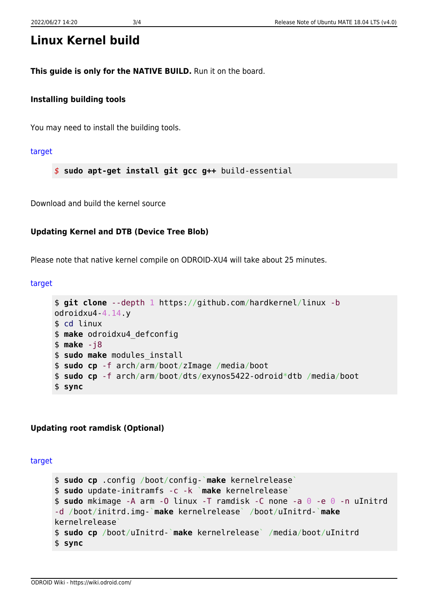# **Linux Kernel build**

**This guide is only for the NATIVE BUILD.** Run it on the board.

### **Installing building tools**

You may need to install the building tools.

[target](https://wiki.odroid.com/_export/code/odroid-xu4/os_images/linux/ubuntu_4.14/20180501?codeblock=3)

*\$* **sudo apt-get install git gcc g++** build-essential

Download and build the kernel source

### **Updating Kernel and DTB (Device Tree Blob)**

Please note that native kernel compile on ODROID-XU4 will take about 25 minutes.

#### [target](https://wiki.odroid.com/_export/code/odroid-xu4/os_images/linux/ubuntu_4.14/20180501?codeblock=4)

```
$ git clone --depth 1 https://github.com/hardkernel/linux -b
odroidxu4-4.14.y
$ cd linux
$ make odroidxu4_defconfig
$ make -j8
$ sudo make modules_install
$ sudo cp -f arch/arm/boot/zImage /media/boot
$ sudo cp -f arch/arm/boot/dts/exynos5422-odroid*dtb /media/boot
$ sync
```
### **Updating root ramdisk (Optional)**

[target](https://wiki.odroid.com/_export/code/odroid-xu4/os_images/linux/ubuntu_4.14/20180501?codeblock=5)

```
$ sudo cp .config /boot/config-`make kernelrelease`
$ sudo update-initramfs -c -k `make kernelrelease`
$ sudo mkimage -A arm -O linux -T ramdisk -C none -a 0 -e 0 -n uInitrd
-d /boot/initrd.img-`make kernelrelease` /boot/uInitrd-`make
kernelrelease`
$ sudo cp /boot/uInitrd-`make kernelrelease` /media/boot/uInitrd
$ sync
```